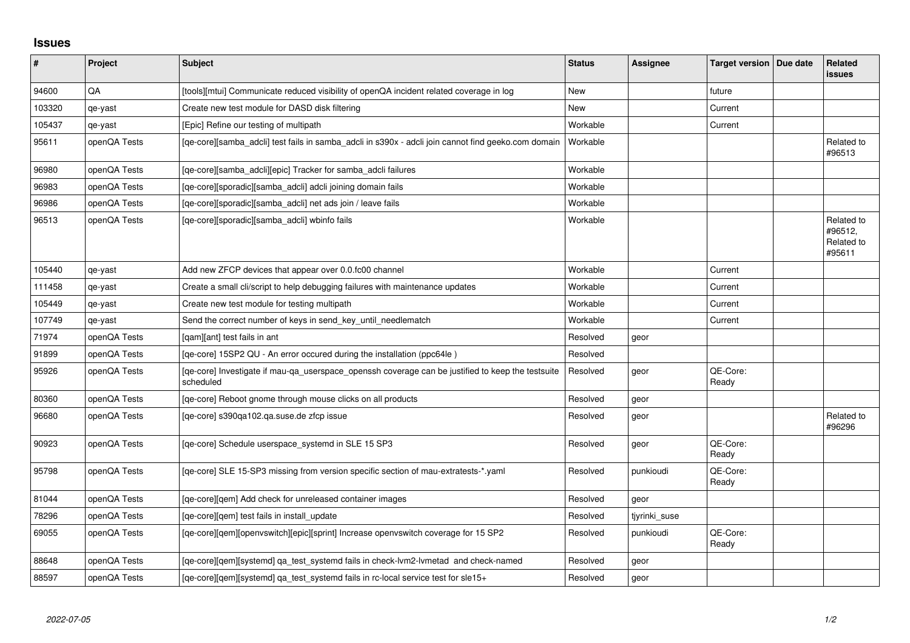## **Issues**

| $\vert$ # | Project      | Subject                                                                                                        | <b>Status</b> | <b>Assignee</b> | Target version   Due date | Related<br><b>issues</b>                      |
|-----------|--------------|----------------------------------------------------------------------------------------------------------------|---------------|-----------------|---------------------------|-----------------------------------------------|
| 94600     | QA           | [tools][mtui] Communicate reduced visibility of openQA incident related coverage in log                        | <b>New</b>    |                 | future                    |                                               |
| 103320    | qe-yast      | Create new test module for DASD disk filtering                                                                 | <b>New</b>    |                 | Current                   |                                               |
| 105437    | qe-yast      | [Epic] Refine our testing of multipath                                                                         | Workable      |                 | Current                   |                                               |
| 95611     | openQA Tests | [qe-core][samba_adcli] test fails in samba_adcli in s390x - adcli join cannot find geeko.com domain            | Workable      |                 |                           | Related to<br>#96513                          |
| 96980     | openQA Tests | [qe-core][samba_adcli][epic] Tracker for samba_adcli failures                                                  | Workable      |                 |                           |                                               |
| 96983     | openQA Tests | [qe-core][sporadic][samba_adcli] adcli joining domain fails                                                    | Workable      |                 |                           |                                               |
| 96986     | openQA Tests | [qe-core][sporadic][samba_adcli] net ads join / leave fails                                                    | Workable      |                 |                           |                                               |
| 96513     | openQA Tests | [qe-core][sporadic][samba_adcli] wbinfo fails                                                                  | Workable      |                 |                           | Related to<br>#96512,<br>Related to<br>#95611 |
| 105440    | qe-yast      | Add new ZFCP devices that appear over 0.0.fc00 channel                                                         | Workable      |                 | Current                   |                                               |
| 111458    | qe-yast      | Create a small cli/script to help debugging failures with maintenance updates                                  | Workable      |                 | Current                   |                                               |
| 105449    | qe-yast      | Create new test module for testing multipath                                                                   | Workable      |                 | Current                   |                                               |
| 107749    | qe-yast      | Send the correct number of keys in send_key_until_needlematch                                                  | Workable      |                 | Current                   |                                               |
| 71974     | openQA Tests | [qam][ant] test fails in ant                                                                                   | Resolved      | geor            |                           |                                               |
| 91899     | openQA Tests | [qe-core] 15SP2 QU - An error occured during the installation (ppc64le)                                        | Resolved      |                 |                           |                                               |
| 95926     | openQA Tests | [qe-core] Investigate if mau-qa_userspace_openssh coverage can be justified to keep the testsuite<br>scheduled | Resolved      | geor            | QE-Core:<br>Ready         |                                               |
| 80360     | openQA Tests | [qe-core] Reboot gnome through mouse clicks on all products                                                    | Resolved      | geor            |                           |                                               |
| 96680     | openQA Tests | [qe-core] s390qa102.qa.suse.de zfcp issue                                                                      | Resolved      | geor            |                           | Related to<br>#96296                          |
| 90923     | openQA Tests | [qe-core] Schedule userspace_systemd in SLE 15 SP3                                                             | Resolved      | geor            | QE-Core:<br>Ready         |                                               |
| 95798     | openQA Tests | [qe-core] SLE 15-SP3 missing from version specific section of mau-extratests-*.yaml                            | Resolved      | punkioudi       | QE-Core:<br>Ready         |                                               |
| 81044     | openQA Tests | [ge-core][gem] Add check for unreleased container images                                                       | Resolved      | geor            |                           |                                               |
| 78296     | openQA Tests | [qe-core][qem] test fails in install_update                                                                    | Resolved      | tiyrinki suse   |                           |                                               |
| 69055     | openQA Tests | [qe-core][qem][openvswitch][epic][sprint] Increase openvswitch coverage for 15 SP2                             | Resolved      | punkioudi       | QE-Core:<br>Ready         |                                               |
| 88648     | openQA Tests | [qe-core][qem][systemd] qa_test_systemd fails in check-lvm2-lvmetad and check-named                            | Resolved      | geor            |                           |                                               |
| 88597     | openQA Tests | [ge-core][gem][systemd] ga test systemd fails in rc-local service test for sle15+                              | Resolved      | geor            |                           |                                               |